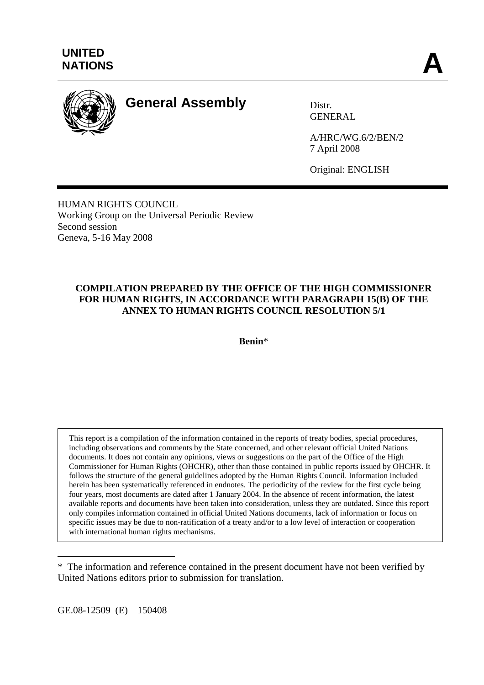

# **General Assembly** Distr.

GENERAL

A/HRC/WG.6/2/BEN/2 7 April 2008

Original: ENGLISH

HUMAN RIGHTS COUNCIL Working Group on the Universal Periodic Review Second session Geneva, 5-16 May 2008

# **COMPILATION PREPARED BY THE OFFICE OF THE HIGH COMMISSIONER FOR HUMAN RIGHTS, IN ACCORDANCE WITH PARAGRAPH 15(B) OF THE ANNEX TO HUMAN RIGHTS COUNCIL RESOLUTION 5/1**

**Benin**\*

This report is a compilation of the information contained in the reports of treaty bodies, special procedures, including observations and comments by the State concerned, and other relevant official United Nations documents. It does not contain any opinions, views or suggestions on the part of the Office of the High Commissioner for Human Rights (OHCHR), other than those contained in public reports issued by OHCHR. It follows the structure of the general guidelines adopted by the Human Rights Council. Information included herein has been systematically referenced in endnotes. The periodicity of the review for the first cycle being four years, most documents are dated after 1 January 2004. In the absence of recent information, the latest available reports and documents have been taken into consideration, unless they are outdated. Since this report only compiles information contained in official United Nations documents, lack of information or focus on specific issues may be due to non-ratification of a treaty and/or to a low level of interaction or cooperation with international human rights mechanisms.

GE.08-12509 (E) 150408

 $\overline{a}$ \* The information and reference contained in the present document have not been verified by United Nations editors prior to submission for translation.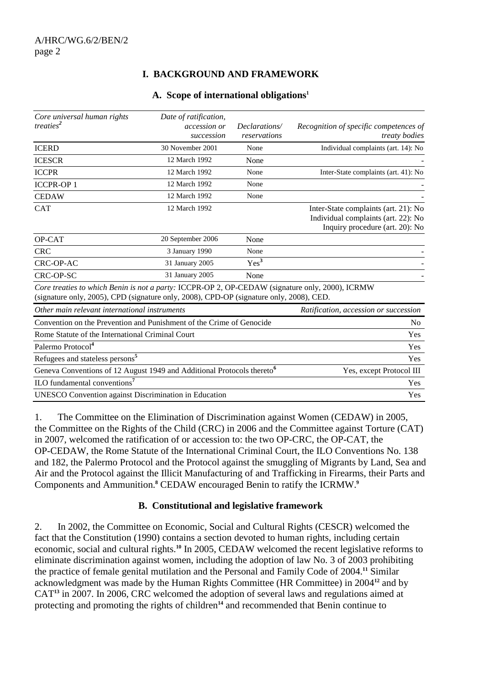# **I. BACKGROUND AND FRAMEWORK**

#### **A. Scope of international obligations1**

| Core universal human rights<br>treaties <sup>2</sup>                                                                                                                                       | Date of ratification,<br><i>accession or</i><br>succession | Declarations/<br>reservations         | Recognition of specific competences of<br>treaty bodies                                                        |
|--------------------------------------------------------------------------------------------------------------------------------------------------------------------------------------------|------------------------------------------------------------|---------------------------------------|----------------------------------------------------------------------------------------------------------------|
| <b>ICERD</b>                                                                                                                                                                               | 30 November 2001                                           | None                                  | Individual complaints (art. 14): No                                                                            |
| <b>ICESCR</b>                                                                                                                                                                              | 12 March 1992                                              | None                                  |                                                                                                                |
| <b>ICCPR</b>                                                                                                                                                                               | 12 March 1992                                              | None                                  | Inter-State complaints (art. 41): No                                                                           |
| <b>ICCPR-OP1</b>                                                                                                                                                                           | 12 March 1992                                              | None                                  |                                                                                                                |
| <b>CEDAW</b>                                                                                                                                                                               | 12 March 1992                                              | None                                  |                                                                                                                |
| <b>CAT</b>                                                                                                                                                                                 | 12 March 1992                                              |                                       | Inter-State complaints (art. 21): No<br>Individual complaints (art. 22): No<br>Inquiry procedure (art. 20): No |
| OP-CAT                                                                                                                                                                                     | 20 September 2006                                          | None                                  |                                                                                                                |
| <b>CRC</b>                                                                                                                                                                                 | 3 January 1990                                             | None                                  |                                                                                                                |
| CRC-OP-AC                                                                                                                                                                                  | 31 January 2005                                            | Yes <sup>3</sup>                      |                                                                                                                |
| CRC-OP-SC                                                                                                                                                                                  | 31 January 2005                                            | None                                  |                                                                                                                |
| Core treaties to which Benin is not a party: ICCPR-OP 2, OP-CEDAW (signature only, 2000), ICRMW<br>(signature only, 2005), CPD (signature only, 2008), CPD-OP (signature only, 2008), CED. |                                                            |                                       |                                                                                                                |
| Other main relevant international instruments                                                                                                                                              |                                                            | Ratification, accession or succession |                                                                                                                |
| Convention on the Prevention and Punishment of the Crime of Genocide                                                                                                                       |                                                            |                                       | N <sub>0</sub>                                                                                                 |
| Rome Statute of the International Criminal Court                                                                                                                                           |                                                            |                                       | <b>Yes</b>                                                                                                     |
| Palermo Protocol <sup>4</sup>                                                                                                                                                              |                                                            |                                       | Yes                                                                                                            |
| Refugees and stateless persons <sup>5</sup>                                                                                                                                                |                                                            |                                       | Yes                                                                                                            |
| Geneva Conventions of 12 August 1949 and Additional Protocols thereto <sup>6</sup>                                                                                                         |                                                            |                                       | Yes, except Protocol III                                                                                       |
| ILO fundamental conventions <sup>7</sup>                                                                                                                                                   |                                                            |                                       | Yes                                                                                                            |
| UNESCO Convention against Discrimination in Education                                                                                                                                      |                                                            |                                       | Yes                                                                                                            |

1. The Committee on the Elimination of Discrimination against Women (CEDAW) in 2005, the Committee on the Rights of the Child (CRC) in 2006 and the Committee against Torture (CAT) in 2007, welcomed the ratification of or accession to: the two OP-CRC, the OP-CAT, the OP-CEDAW, the Rome Statute of the International Criminal Court, the ILO Conventions No. 138 and 182, the Palermo Protocol and the Protocol against the smuggling of Migrants by Land, Sea and Air and the Protocol against the Illicit Manufacturing of and Trafficking in Firearms, their Parts and Components and Ammunition.**<sup>8</sup>** CEDAW encouraged Benin to ratify the ICRMW.**<sup>9</sup>**

#### **B. Constitutional and legislative framework**

2. In 2002, the Committee on Economic, Social and Cultural Rights (CESCR) welcomed the fact that the Constitution (1990) contains a section devoted to human rights, including certain economic, social and cultural rights.**<sup>10</sup>** In 2005, CEDAW welcomed the recent legislative reforms to eliminate discrimination against women, including the adoption of law No. 3 of 2003 prohibiting the practice of female genital mutilation and the Personal and Family Code of 2004.**<sup>11</sup>** Similar acknowledgment was made by the Human Rights Committee (HR Committee) in 2004**<sup>12</sup>** and by CAT**<sup>13</sup>** in 2007. In 2006, CRC welcomed the adoption of several laws and regulations aimed at protecting and promoting the rights of children**14** and recommended that Benin continue to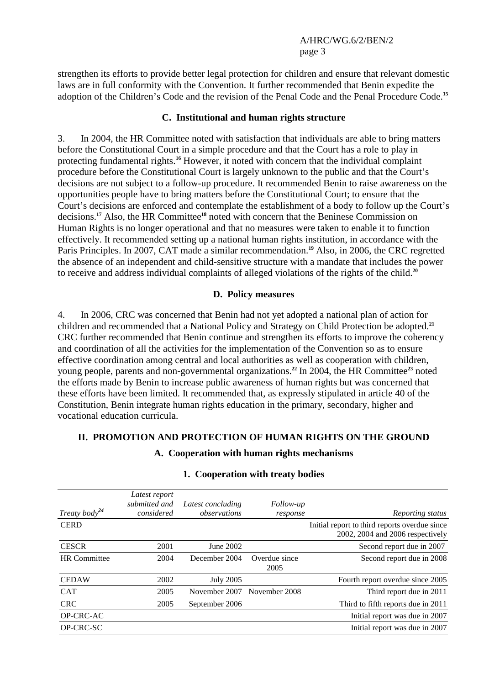strengthen its efforts to provide better legal protection for children and ensure that relevant domestic laws are in full conformity with the Convention. It further recommended that Benin expedite the adoption of the Children's Code and the revision of the Penal Code and the Penal Procedure Code.**<sup>15</sup>**

#### **C. Institutional and human rights structure**

3. In 2004, the HR Committee noted with satisfaction that individuals are able to bring matters before the Constitutional Court in a simple procedure and that the Court has a role to play in protecting fundamental rights.**<sup>16</sup>** However, it noted with concern that the individual complaint procedure before the Constitutional Court is largely unknown to the public and that the Court's decisions are not subject to a follow-up procedure. It recommended Benin to raise awareness on the opportunities people have to bring matters before the Constitutional Court; to ensure that the Court's decisions are enforced and contemplate the establishment of a body to follow up the Court's decisions.**<sup>17</sup>** Also, the HR Committee**<sup>18</sup>** noted with concern that the Beninese Commission on Human Rights is no longer operational and that no measures were taken to enable it to function effectively. It recommended setting up a national human rights institution, in accordance with the Paris Principles. In 2007, CAT made a similar recommendation.**<sup>19</sup>** Also, in 2006, the CRC regretted the absence of an independent and child-sensitive structure with a mandate that includes the power to receive and address individual complaints of alleged violations of the rights of the child.**<sup>20</sup>**

#### **D. Policy measures**

4. In 2006, CRC was concerned that Benin had not yet adopted a national plan of action for children and recommended that a National Policy and Strategy on Child Protection be adopted.**<sup>21</sup>** CRC further recommended that Benin continue and strengthen its efforts to improve the coherency and coordination of all the activities for the implementation of the Convention so as to ensure effective coordination among central and local authorities as well as cooperation with children, young people, parents and non-governmental organizations.**<sup>22</sup>** In 2004, the HR Committee**<sup>23</sup>** noted the efforts made by Benin to increase public awareness of human rights but was concerned that these efforts have been limited. It recommended that, as expressly stipulated in article 40 of the Constitution, Benin integrate human rights education in the primary, secondary, higher and vocational education curricula.

### **II. PROMOTION AND PROTECTION OF HUMAN RIGHTS ON THE GROUND**

**A. Cooperation with human rights mechanisms** 

| Treaty body <sup>24</sup> | Latest report<br>submitted and<br>considered | Latest concluding<br>observations | <i>Follow-up</i><br>response | Reporting status                                                                  |
|---------------------------|----------------------------------------------|-----------------------------------|------------------------------|-----------------------------------------------------------------------------------|
| <b>CERD</b>               |                                              |                                   |                              | Initial report to third reports overdue since<br>2002, 2004 and 2006 respectively |
| <b>CESCR</b>              | 2001                                         | June 2002                         |                              | Second report due in 2007                                                         |
| <b>HR</b> Committee       | 2004                                         | December 2004                     | Overdue since<br>2005        | Second report due in 2008                                                         |
| <b>CEDAW</b>              | 2002                                         | <b>July 2005</b>                  |                              | Fourth report overdue since 2005                                                  |
| <b>CAT</b>                | 2005                                         | November 2007                     | November 2008                | Third report due in 2011                                                          |
| <b>CRC</b>                | 2005                                         | September 2006                    |                              | Third to fifth reports due in 2011                                                |
| OP-CRC-AC                 |                                              |                                   |                              | Initial report was due in 2007                                                    |
| OP-CRC-SC                 |                                              |                                   |                              | Initial report was due in 2007                                                    |

#### **1. Cooperation with treaty bodies**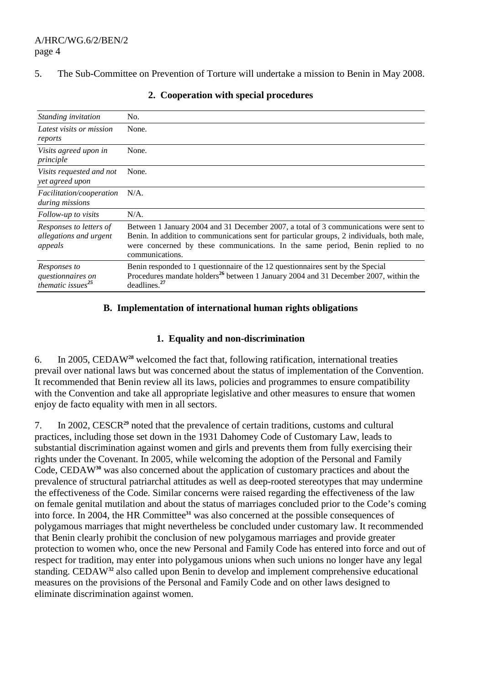#### 5. The Sub-Committee on Prevention of Torture will undertake a mission to Benin in May 2008.

| Standing invitation                                                         | No.                                                                                                                                                                                                                                                                                       |  |
|-----------------------------------------------------------------------------|-------------------------------------------------------------------------------------------------------------------------------------------------------------------------------------------------------------------------------------------------------------------------------------------|--|
| Latest visits or mission<br>reports                                         | None.                                                                                                                                                                                                                                                                                     |  |
| Visits agreed upon in<br>principle                                          | None.                                                                                                                                                                                                                                                                                     |  |
| Visits requested and not<br>yet agreed upon                                 | None.                                                                                                                                                                                                                                                                                     |  |
| Facilitation/cooperation<br><i>during missions</i>                          | $N/A$ .                                                                                                                                                                                                                                                                                   |  |
| Follow-up to visits                                                         | $N/A$ .                                                                                                                                                                                                                                                                                   |  |
| Responses to letters of<br>allegations and urgent<br>appeals                | Between 1 January 2004 and 31 December 2007, a total of 3 communications were sent to<br>Benin. In addition to communications sent for particular groups, 2 individuals, both male,<br>were concerned by these communications. In the same period, Benin replied to no<br>communications. |  |
| Responses to<br>questionnaires on<br>$\hat{t}$ hematic issues <sup>25</sup> | Benin responded to 1 questionnaire of the 12 questionnaires sent by the Special<br>Procedures mandate holders <sup>26</sup> between 1 January 2004 and 31 December 2007, within the<br>deadlines. <sup>27</sup>                                                                           |  |

#### **2. Cooperation with special procedures**

# **B. Implementation of international human rights obligations**

#### **1. Equality and non-discrimination**

6. In 2005, CEDAW**<sup>28</sup>** welcomed the fact that, following ratification, international treaties prevail over national laws but was concerned about the status of implementation of the Convention. It recommended that Benin review all its laws, policies and programmes to ensure compatibility with the Convention and take all appropriate legislative and other measures to ensure that women enjoy de facto equality with men in all sectors.

7. In 2002, CESCR**<sup>29</sup>** noted that the prevalence of certain traditions, customs and cultural practices, including those set down in the 1931 Dahomey Code of Customary Law, leads to substantial discrimination against women and girls and prevents them from fully exercising their rights under the Covenant. In 2005, while welcoming the adoption of the Personal and Family Code, CEDAW**<sup>30</sup>** was also concerned about the application of customary practices and about the prevalence of structural patriarchal attitudes as well as deep-rooted stereotypes that may undermine the effectiveness of the Code. Similar concerns were raised regarding the effectiveness of the law on female genital mutilation and about the status of marriages concluded prior to the Code's coming into force. In 2004, the HR Committee**<sup>31</sup>** was also concerned at the possible consequences of polygamous marriages that might nevertheless be concluded under customary law. It recommended that Benin clearly prohibit the conclusion of new polygamous marriages and provide greater protection to women who, once the new Personal and Family Code has entered into force and out of respect for tradition, may enter into polygamous unions when such unions no longer have any legal standing. CEDAW**<sup>32</sup>** also called upon Benin to develop and implement comprehensive educational measures on the provisions of the Personal and Family Code and on other laws designed to eliminate discrimination against women.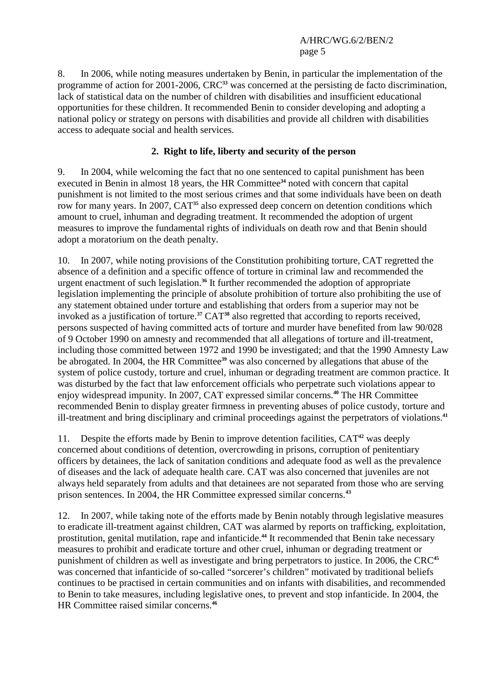8. In 2006, while noting measures undertaken by Benin, in particular the implementation of the programme of action for 2001-2006, CRC**<sup>33</sup>** was concerned at the persisting de facto discrimination, lack of statistical data on the number of children with disabilities and insufficient educational opportunities for these children. It recommended Benin to consider developing and adopting a national policy or strategy on persons with disabilities and provide all children with disabilities access to adequate social and health services.

# **2. Right to life, liberty and security of the person**

9. In 2004, while welcoming the fact that no one sentenced to capital punishment has been executed in Benin in almost 18 years, the HR Committee**<sup>34</sup>** noted with concern that capital punishment is not limited to the most serious crimes and that some individuals have been on death row for many years. In 2007, CAT**<sup>35</sup>** also expressed deep concern on detention conditions which amount to cruel, inhuman and degrading treatment. It recommended the adoption of urgent measures to improve the fundamental rights of individuals on death row and that Benin should adopt a moratorium on the death penalty.

10. In 2007, while noting provisions of the Constitution prohibiting torture, CAT regretted the absence of a definition and a specific offence of torture in criminal law and recommended the urgent enactment of such legislation.**<sup>36</sup>** It further recommended the adoption of appropriate legislation implementing the principle of absolute prohibition of torture also prohibiting the use of any statement obtained under torture and establishing that orders from a superior may not be invoked as a justification of torture.**<sup>37</sup>** CAT**<sup>38</sup>** also regretted that according to reports received, persons suspected of having committed acts of torture and murder have benefited from law 90/028 of 9 October 1990 on amnesty and recommended that all allegations of torture and ill-treatment, including those committed between 1972 and 1990 be investigated; and that the 1990 Amnesty Law be abrogated. In 2004, the HR Committee**<sup>39</sup>** was also concerned by allegations that abuse of the system of police custody, torture and cruel, inhuman or degrading treatment are common practice. It was disturbed by the fact that law enforcement officials who perpetrate such violations appear to enjoy widespread impunity. In 2007, CAT expressed similar concerns.**<sup>40</sup>** The HR Committee recommended Benin to display greater firmness in preventing abuses of police custody, torture and ill-treatment and bring disciplinary and criminal proceedings against the perpetrators of violations.**<sup>41</sup>**

11. Despite the efforts made by Benin to improve detention facilities, CAT**<sup>42</sup>** was deeply concerned about conditions of detention, overcrowding in prisons, corruption of penitentiary officers by detainees, the lack of sanitation conditions and adequate food as well as the prevalence of diseases and the lack of adequate health care. CAT was also concerned that juveniles are not always held separately from adults and that detainees are not separated from those who are serving prison sentences. In 2004, the HR Committee expressed similar concerns.**<sup>43</sup>**

12. In 2007, while taking note of the efforts made by Benin notably through legislative measures to eradicate ill-treatment against children, CAT was alarmed by reports on trafficking, exploitation, prostitution, genital mutilation, rape and infanticide.**<sup>44</sup>** It recommended that Benin take necessary measures to prohibit and eradicate torture and other cruel, inhuman or degrading treatment or punishment of children as well as investigate and bring perpetrators to justice. In 2006, the CRC**<sup>45</sup>** was concerned that infanticide of so-called "sorcerer's children" motivated by traditional beliefs continues to be practised in certain communities and on infants with disabilities, and recommended to Benin to take measures, including legislative ones, to prevent and stop infanticide. In 2004, the HR Committee raised similar concerns.**46**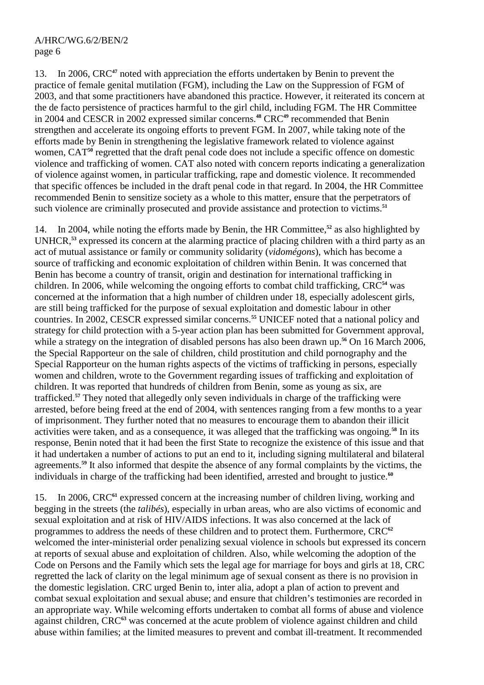13. In 2006, CRC**<sup>47</sup>** noted with appreciation the efforts undertaken by Benin to prevent the practice of female genital mutilation (FGM), including the Law on the Suppression of FGM of 2003, and that some practitioners have abandoned this practice. However, it reiterated its concern at the de facto persistence of practices harmful to the girl child, including FGM. The HR Committee in 2004 and CESCR in 2002 expressed similar concerns.**<sup>48</sup>** CRC**<sup>49</sup>** recommended that Benin strengthen and accelerate its ongoing efforts to prevent FGM. In 2007, while taking note of the efforts made by Benin in strengthening the legislative framework related to violence against women, CAT<sup>50</sup> regretted that the draft penal code does not include a specific offence on domestic violence and trafficking of women. CAT also noted with concern reports indicating a generalization of violence against women, in particular trafficking, rape and domestic violence. It recommended that specific offences be included in the draft penal code in that regard. In 2004, the HR Committee recommended Benin to sensitize society as a whole to this matter, ensure that the perpetrators of such violence are criminally prosecuted and provide assistance and protection to victims.**<sup>51</sup>**

14. In 2004, while noting the efforts made by Benin, the HR Committee,**<sup>52</sup>** as also highlighted by UNHCR,**<sup>53</sup>** expressed its concern at the alarming practice of placing children with a third party as an act of mutual assistance or family or community solidarity (*vidomégons*), which has become a source of trafficking and economic exploitation of children within Benin. It was concerned that Benin has become a country of transit, origin and destination for international trafficking in children. In 2006, while welcoming the ongoing efforts to combat child trafficking, CRC**<sup>54</sup>** was concerned at the information that a high number of children under 18, especially adolescent girls, are still being trafficked for the purpose of sexual exploitation and domestic labour in other countries. In 2002, CESCR expressed similar concerns.**<sup>55</sup>** UNICEF noted that a national policy and strategy for child protection with a 5-year action plan has been submitted for Government approval, while a strategy on the integration of disabled persons has also been drawn up.<sup>56</sup> On 16 March 2006, the Special Rapporteur on the sale of children, child prostitution and child pornography and the Special Rapporteur on the human rights aspects of the victims of trafficking in persons, especially women and children, wrote to the Government regarding issues of trafficking and exploitation of children. It was reported that hundreds of children from Benin, some as young as six, are trafficked.**<sup>57</sup>** They noted that allegedly only seven individuals in charge of the trafficking were arrested, before being freed at the end of 2004, with sentences ranging from a few months to a year of imprisonment. They further noted that no measures to encourage them to abandon their illicit activities were taken, and as a consequence, it was alleged that the trafficking was ongoing.**<sup>58</sup>** In its response, Benin noted that it had been the first State to recognize the existence of this issue and that it had undertaken a number of actions to put an end to it, including signing multilateral and bilateral agreements.**<sup>59</sup>** It also informed that despite the absence of any formal complaints by the victims, the individuals in charge of the trafficking had been identified, arrested and brought to justice.**<sup>60</sup>**

15. In 2006, CRC**<sup>61</sup>** expressed concern at the increasing number of children living, working and begging in the streets (the *talibés*), especially in urban areas, who are also victims of economic and sexual exploitation and at risk of HIV/AIDS infections. It was also concerned at the lack of programmes to address the needs of these children and to protect them. Furthermore, CRC**<sup>62</sup>** welcomed the inter-ministerial order penalizing sexual violence in schools but expressed its concern at reports of sexual abuse and exploitation of children. Also, while welcoming the adoption of the Code on Persons and the Family which sets the legal age for marriage for boys and girls at 18, CRC regretted the lack of clarity on the legal minimum age of sexual consent as there is no provision in the domestic legislation. CRC urged Benin to, inter alia, adopt a plan of action to prevent and combat sexual exploitation and sexual abuse; and ensure that children's testimonies are recorded in an appropriate way. While welcoming efforts undertaken to combat all forms of abuse and violence against children, CRC**<sup>63</sup>** was concerned at the acute problem of violence against children and child abuse within families; at the limited measures to prevent and combat ill-treatment. It recommended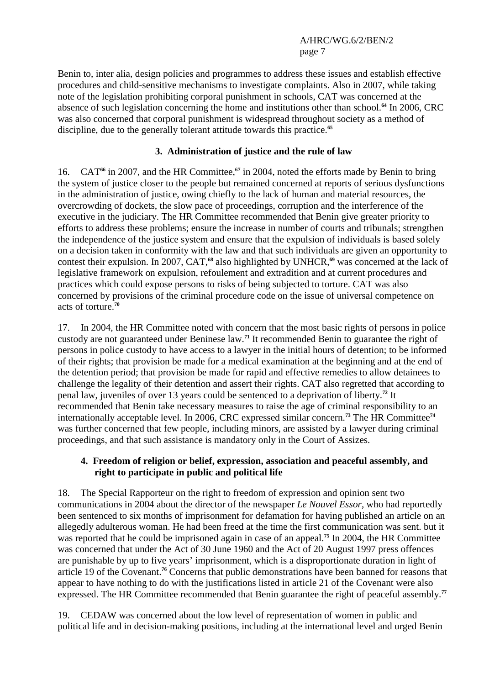Benin to, inter alia, design policies and programmes to address these issues and establish effective procedures and child-sensitive mechanisms to investigate complaints. Also in 2007, while taking note of the legislation prohibiting corporal punishment in schools, CAT was concerned at the absence of such legislation concerning the home and institutions other than school.**<sup>64</sup>** In 2006, CRC was also concerned that corporal punishment is widespread throughout society as a method of discipline, due to the generally tolerant attitude towards this practice.**<sup>65</sup>**

# **3. Administration of justice and the rule of law**

16. CAT<sup>66</sup> in 2007, and the HR Committee,<sup>67</sup> in 2004, noted the efforts made by Benin to bring the system of justice closer to the people but remained concerned at reports of serious dysfunctions in the administration of justice, owing chiefly to the lack of human and material resources, the overcrowding of dockets, the slow pace of proceedings, corruption and the interference of the executive in the judiciary. The HR Committee recommended that Benin give greater priority to efforts to address these problems; ensure the increase in number of courts and tribunals; strengthen the independence of the justice system and ensure that the expulsion of individuals is based solely on a decision taken in conformity with the law and that such individuals are given an opportunity to contest their expulsion. In 2007, CAT,**<sup>68</sup>** also highlighted by UNHCR,**<sup>69</sup>** was concerned at the lack of legislative framework on expulsion, refoulement and extradition and at current procedures and practices which could expose persons to risks of being subjected to torture. CAT was also concerned by provisions of the criminal procedure code on the issue of universal competence on acts of torture.**<sup>70</sup>**

17. In 2004, the HR Committee noted with concern that the most basic rights of persons in police custody are not guaranteed under Beninese law.**<sup>71</sup>** It recommended Benin to guarantee the right of persons in police custody to have access to a lawyer in the initial hours of detention; to be informed of their rights; that provision be made for a medical examination at the beginning and at the end of the detention period; that provision be made for rapid and effective remedies to allow detainees to challenge the legality of their detention and assert their rights. CAT also regretted that according to penal law, juveniles of over 13 years could be sentenced to a deprivation of liberty.**<sup>72</sup>** It recommended that Benin take necessary measures to raise the age of criminal responsibility to an internationally acceptable level. In 2006, CRC expressed similar concern.**<sup>73</sup>** The HR Committee**<sup>74</sup>** was further concerned that few people, including minors, are assisted by a lawyer during criminal proceedings, and that such assistance is mandatory only in the Court of Assizes.

# **4. Freedom of religion or belief, expression, association and peaceful assembly, and right to participate in public and political life**

18. The Special Rapporteur on the right to freedom of expression and opinion sent two communications in 2004 about the director of the newspaper *Le Nouvel Essor*, who had reportedly been sentenced to six months of imprisonment for defamation for having published an article on an allegedly adulterous woman. He had been freed at the time the first communication was sent. but it was reported that he could be imprisoned again in case of an appeal.**<sup>75</sup>** In 2004, the HR Committee was concerned that under the Act of 30 June 1960 and the Act of 20 August 1997 press offences are punishable by up to five years' imprisonment, which is a disproportionate duration in light of article 19 of the Covenant.**<sup>76</sup>** Concerns that public demonstrations have been banned for reasons that appear to have nothing to do with the justifications listed in article 21 of the Covenant were also expressed. The HR Committee recommended that Benin guarantee the right of peaceful assembly.**<sup>77</sup>**

19. CEDAW was concerned about the low level of representation of women in public and political life and in decision-making positions, including at the international level and urged Benin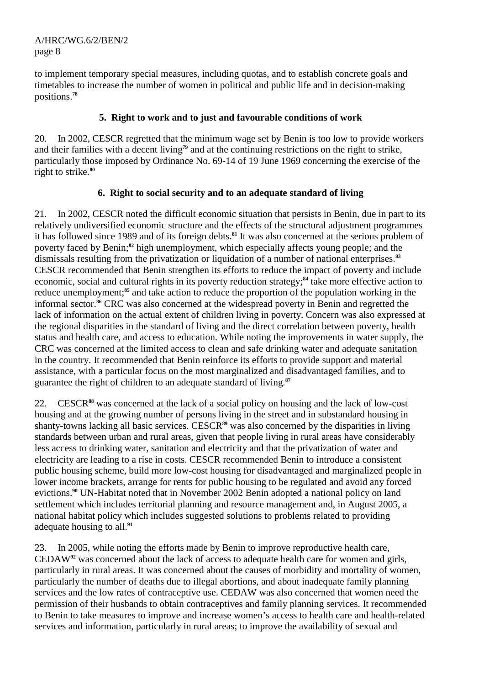to implement temporary special measures, including quotas, and to establish concrete goals and timetables to increase the number of women in political and public life and in decision-making positions.**<sup>78</sup>**

# **5. Right to work and to just and favourable conditions of work**

20. In 2002, CESCR regretted that the minimum wage set by Benin is too low to provide workers and their families with a decent living**<sup>79</sup>** and at the continuing restrictions on the right to strike, particularly those imposed by Ordinance No. 69-14 of 19 June 1969 concerning the exercise of the right to strike.**<sup>80</sup>**

# **6. Right to social security and to an adequate standard of living**

21. In 2002, CESCR noted the difficult economic situation that persists in Benin, due in part to its relatively undiversified economic structure and the effects of the structural adjustment programmes it has followed since 1989 and of its foreign debts.**<sup>81</sup>** It was also concerned at the serious problem of poverty faced by Benin;**<sup>82</sup>** high unemployment, which especially affects young people; and the dismissals resulting from the privatization or liquidation of a number of national enterprises.**<sup>83</sup>** CESCR recommended that Benin strengthen its efforts to reduce the impact of poverty and include economic, social and cultural rights in its poverty reduction strategy;**<sup>84</sup>** take more effective action to reduce unemployment;**<sup>85</sup>** and take action to reduce the proportion of the population working in the informal sector.**<sup>86</sup>** CRC was also concerned at the widespread poverty in Benin and regretted the lack of information on the actual extent of children living in poverty. Concern was also expressed at the regional disparities in the standard of living and the direct correlation between poverty, health status and health care, and access to education. While noting the improvements in water supply, the CRC was concerned at the limited access to clean and safe drinking water and adequate sanitation in the country. It recommended that Benin reinforce its efforts to provide support and material assistance, with a particular focus on the most marginalized and disadvantaged families, and to guarantee the right of children to an adequate standard of living.**<sup>87</sup>**

22. CESCR**<sup>88</sup>** was concerned at the lack of a social policy on housing and the lack of low-cost housing and at the growing number of persons living in the street and in substandard housing in shanty-towns lacking all basic services. CESCR**<sup>89</sup>** was also concerned by the disparities in living standards between urban and rural areas, given that people living in rural areas have considerably less access to drinking water, sanitation and electricity and that the privatization of water and electricity are leading to a rise in costs. CESCR recommended Benin to introduce a consistent public housing scheme, build more low-cost housing for disadvantaged and marginalized people in lower income brackets, arrange for rents for public housing to be regulated and avoid any forced evictions.**<sup>90</sup>** UN-Habitat noted that in November 2002 Benin adopted a national policy on land settlement which includes territorial planning and resource management and, in August 2005, a national habitat policy which includes suggested solutions to problems related to providing adequate housing to all.**<sup>91</sup>**

23. In 2005, while noting the efforts made by Benin to improve reproductive health care, CEDAW**<sup>92</sup>** was concerned about the lack of access to adequate health care for women and girls, particularly in rural areas. It was concerned about the causes of morbidity and mortality of women, particularly the number of deaths due to illegal abortions, and about inadequate family planning services and the low rates of contraceptive use. CEDAW was also concerned that women need the permission of their husbands to obtain contraceptives and family planning services. It recommended to Benin to take measures to improve and increase women's access to health care and health-related services and information, particularly in rural areas; to improve the availability of sexual and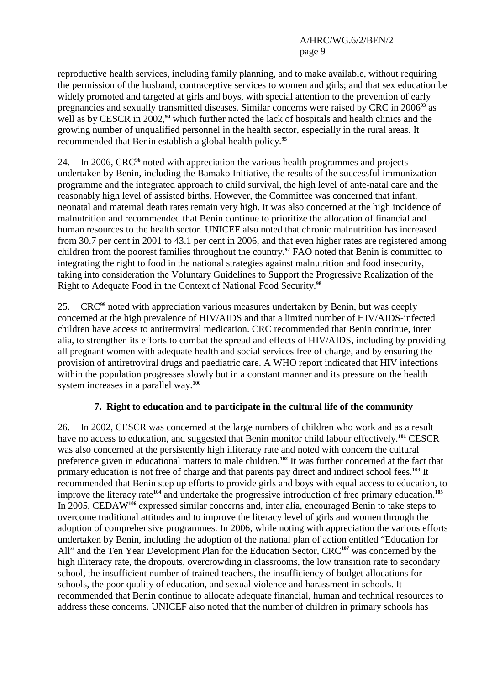reproductive health services, including family planning, and to make available, without requiring the permission of the husband, contraceptive services to women and girls; and that sex education be widely promoted and targeted at girls and boys, with special attention to the prevention of early pregnancies and sexually transmitted diseases. Similar concerns were raised by CRC in 2006**<sup>93</sup>** as well as by CESCR in 2002,**<sup>94</sup>** which further noted the lack of hospitals and health clinics and the growing number of unqualified personnel in the health sector, especially in the rural areas. It recommended that Benin establish a global health policy.**<sup>95</sup>**

24. In 2006, CRC**<sup>96</sup>** noted with appreciation the various health programmes and projects undertaken by Benin, including the Bamako Initiative, the results of the successful immunization programme and the integrated approach to child survival, the high level of ante-natal care and the reasonably high level of assisted births. However, the Committee was concerned that infant, neonatal and maternal death rates remain very high. It was also concerned at the high incidence of malnutrition and recommended that Benin continue to prioritize the allocation of financial and human resources to the health sector. UNICEF also noted that chronic malnutrition has increased from 30.7 per cent in 2001 to 43.1 per cent in 2006, and that even higher rates are registered among children from the poorest families throughout the country.**<sup>97</sup>** FAO noted that Benin is committed to integrating the right to food in the national strategies against malnutrition and food insecurity, taking into consideration the Voluntary Guidelines to Support the Progressive Realization of the Right to Adequate Food in the Context of National Food Security.**<sup>98</sup>**

25. CRC**<sup>99</sup>** noted with appreciation various measures undertaken by Benin, but was deeply concerned at the high prevalence of HIV/AIDS and that a limited number of HIV/AIDS-infected children have access to antiretroviral medication. CRC recommended that Benin continue, inter alia, to strengthen its efforts to combat the spread and effects of HIV/AIDS, including by providing all pregnant women with adequate health and social services free of charge, and by ensuring the provision of antiretroviral drugs and paediatric care. A WHO report indicated that HIV infections within the population progresses slowly but in a constant manner and its pressure on the health system increases in a parallel way.**<sup>100</sup>**

# **7. Right to education and to participate in the cultural life of the community**

26. In 2002, CESCR was concerned at the large numbers of children who work and as a result have no access to education, and suggested that Benin monitor child labour effectively.**<sup>101</sup>** CESCR was also concerned at the persistently high illiteracy rate and noted with concern the cultural preference given in educational matters to male children.<sup>102</sup> It was further concerned at the fact that primary education is not free of charge and that parents pay direct and indirect school fees.**<sup>103</sup>** It recommended that Benin step up efforts to provide girls and boys with equal access to education, to improve the literacy rate**<sup>104</sup>** and undertake the progressive introduction of free primary education.**<sup>105</sup>** In 2005, CEDAW**<sup>106</sup>** expressed similar concerns and, inter alia, encouraged Benin to take steps to overcome traditional attitudes and to improve the literacy level of girls and women through the adoption of comprehensive programmes. In 2006, while noting with appreciation the various efforts undertaken by Benin, including the adoption of the national plan of action entitled "Education for All" and the Ten Year Development Plan for the Education Sector, CRC**<sup>107</sup>** was concerned by the high illiteracy rate, the dropouts, overcrowding in classrooms, the low transition rate to secondary school, the insufficient number of trained teachers, the insufficiency of budget allocations for schools, the poor quality of education, and sexual violence and harassment in schools. It recommended that Benin continue to allocate adequate financial, human and technical resources to address these concerns. UNICEF also noted that the number of children in primary schools has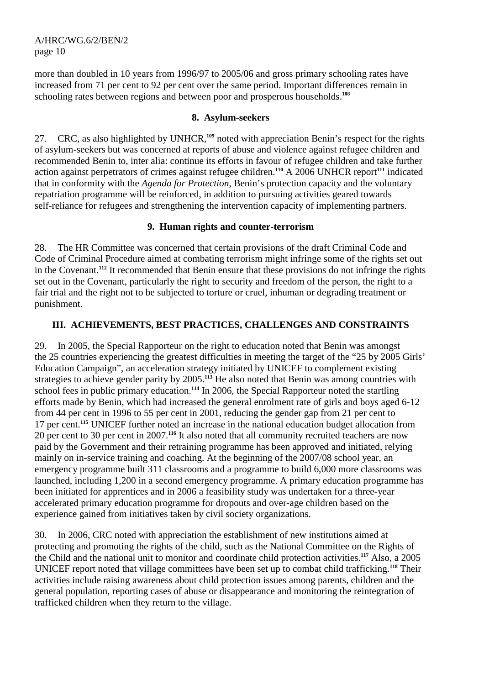more than doubled in 10 years from 1996/97 to 2005/06 and gross primary schooling rates have increased from 71 per cent to 92 per cent over the same period. Important differences remain in schooling rates between regions and between poor and prosperous households.**<sup>108</sup>**

# **8. Asylum-seekers**

27. CRC, as also highlighted by UNHCR,**<sup>109</sup>** noted with appreciation Benin's respect for the rights of asylum-seekers but was concerned at reports of abuse and violence against refugee children and recommended Benin to, inter alia: continue its efforts in favour of refugee children and take further action against perpetrators of crimes against refugee children.**<sup>110</sup>** A 2006 UNHCR report**<sup>111</sup>** indicated that in conformity with the *Agenda for Protection*, Benin's protection capacity and the voluntary repatriation programme will be reinforced, in addition to pursuing activities geared towards self-reliance for refugees and strengthening the intervention capacity of implementing partners.

# **9. Human rights and counter-terrorism**

28. The HR Committee was concerned that certain provisions of the draft Criminal Code and Code of Criminal Procedure aimed at combating terrorism might infringe some of the rights set out in the Covenant.**<sup>112</sup>** It recommended that Benin ensure that these provisions do not infringe the rights set out in the Covenant, particularly the right to security and freedom of the person, the right to a fair trial and the right not to be subjected to torture or cruel, inhuman or degrading treatment or punishment.

# **III. ACHIEVEMENTS, BEST PRACTICES, CHALLENGES AND CONSTRAINTS**

29. In 2005, the Special Rapporteur on the right to education noted that Benin was amongst the 25 countries experiencing the greatest difficulties in meeting the target of the "25 by 2005 Girls' Education Campaign", an acceleration strategy initiated by UNICEF to complement existing strategies to achieve gender parity by 2005.**<sup>113</sup>** He also noted that Benin was among countries with school fees in public primary education.<sup>114</sup> In 2006, the Special Rapporteur noted the startling efforts made by Benin, which had increased the general enrolment rate of girls and boys aged 6-12 from 44 per cent in 1996 to 55 per cent in 2001, reducing the gender gap from 21 per cent to 17 per cent.**<sup>115</sup>** UNICEF further noted an increase in the national education budget allocation from 20 per cent to 30 per cent in 2007.**<sup>116</sup>** It also noted that all community recruited teachers are now paid by the Government and their retraining programme has been approved and initiated, relying mainly on in-service training and coaching. At the beginning of the 2007/08 school year, an emergency programme built 311 classrooms and a programme to build 6,000 more classrooms was launched, including 1,200 in a second emergency programme. A primary education programme has been initiated for apprentices and in 2006 a feasibility study was undertaken for a three-year accelerated primary education programme for dropouts and over-age children based on the experience gained from initiatives taken by civil society organizations.

30. In 2006, CRC noted with appreciation the establishment of new institutions aimed at protecting and promoting the rights of the child, such as the National Committee on the Rights of the Child and the national unit to monitor and coordinate child protection activities.**<sup>117</sup>** Also, a 2005 UNICEF report noted that village committees have been set up to combat child trafficking.**<sup>118</sup>** Their activities include raising awareness about child protection issues among parents, children and the general population, reporting cases of abuse or disappearance and monitoring the reintegration of trafficked children when they return to the village.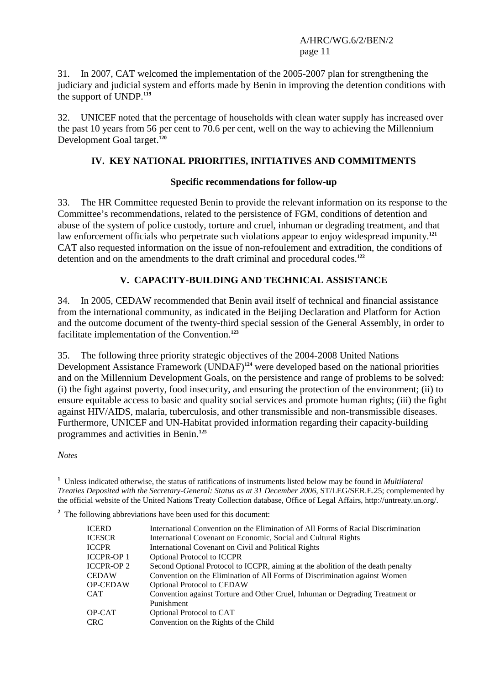31. In 2007, CAT welcomed the implementation of the 2005-2007 plan for strengthening the judiciary and judicial system and efforts made by Benin in improving the detention conditions with the support of UNDP.**<sup>119</sup>**

32. UNICEF noted that the percentage of households with clean water supply has increased over the past 10 years from 56 per cent to 70.6 per cent, well on the way to achieving the Millennium Development Goal target.**<sup>120</sup>**

# **IV. KEY NATIONAL PRIORITIES, INITIATIVES AND COMMITMENTS**

#### **Specific recommendations for follow-up**

33. The HR Committee requested Benin to provide the relevant information on its response to the Committee's recommendations, related to the persistence of FGM, conditions of detention and abuse of the system of police custody, torture and cruel, inhuman or degrading treatment, and that law enforcement officials who perpetrate such violations appear to enjoy widespread impunity.**<sup>121</sup>** CAT also requested information on the issue of non-refoulement and extradition, the conditions of detention and on the amendments to the draft criminal and procedural codes.**<sup>122</sup>**

# **V. CAPACITY-BUILDING AND TECHNICAL ASSISTANCE**

34. In 2005, CEDAW recommended that Benin avail itself of technical and financial assistance from the international community, as indicated in the Beijing Declaration and Platform for Action and the outcome document of the twenty-third special session of the General Assembly, in order to facilitate implementation of the Convention.**<sup>123</sup>**

35. The following three priority strategic objectives of the 2004-2008 United Nations Development Assistance Framework (UNDAF)**<sup>124</sup>** were developed based on the national priorities and on the Millennium Development Goals, on the persistence and range of problems to be solved: (i) the fight against poverty, food insecurity, and ensuring the protection of the environment; (ii) to ensure equitable access to basic and quality social services and promote human rights; (iii) the fight against HIV/AIDS, malaria, tuberculosis, and other transmissible and non-transmissible diseases. Furthermore, UNICEF and UN-Habitat provided information regarding their capacity-building programmes and activities in Benin.**<sup>125</sup>**

*Notes* 

**1** Unless indicated otherwise, the status of ratifications of instruments listed below may be found in *Multilateral Treaties Deposited with the Secretary-General: Status as at 31 December 2006*, ST/LEG/SER.E.25; complemented by the official website of the United Nations Treaty Collection database, Office of Legal Affairs, http://untreaty.un.org/.

<sup>2</sup> The following abbreviations have been used for this document:

| <b>ICERD</b>      | International Convention on the Elimination of All Forms of Racial Discrimination |
|-------------------|-----------------------------------------------------------------------------------|
| <b>ICESCR</b>     | International Covenant on Economic, Social and Cultural Rights                    |
| <b>ICCPR</b>      | International Covenant on Civil and Political Rights                              |
| <b>ICCPR-OP1</b>  | <b>Optional Protocol to ICCPR</b>                                                 |
| <b>ICCPR-OP 2</b> | Second Optional Protocol to ICCPR, aiming at the abolition of the death penalty   |
| <b>CEDAW</b>      | Convention on the Elimination of All Forms of Discrimination against Women        |
| <b>OP-CEDAW</b>   | <b>Optional Protocol to CEDAW</b>                                                 |
| <b>CAT</b>        | Convention against Torture and Other Cruel, Inhuman or Degrading Treatment or     |
|                   | Punishment                                                                        |
| OP-CAT            | Optional Protocol to CAT                                                          |
| <b>CRC</b>        | Convention on the Rights of the Child                                             |
|                   |                                                                                   |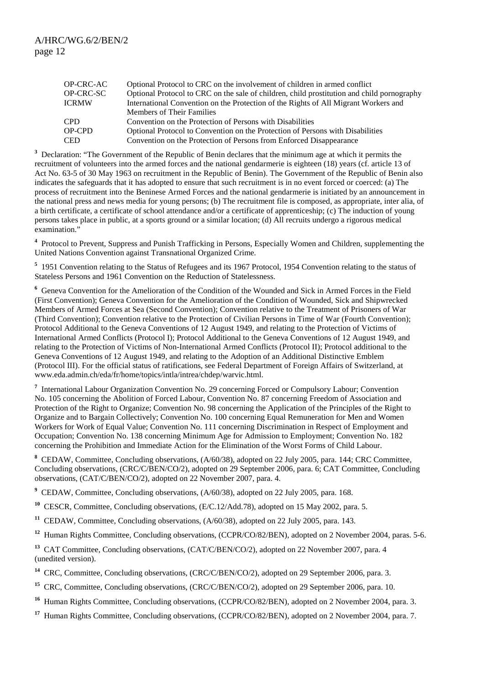| OP-CRC-AC     | Optional Protocol to CRC on the involvement of children in armed conflict                  |
|---------------|--------------------------------------------------------------------------------------------|
| OP-CRC-SC     | Optional Protocol to CRC on the sale of children, child prostitution and child pornography |
| <b>ICRMW</b>  | International Convention on the Protection of the Rights of All Migrant Workers and        |
|               | <b>Members of Their Families</b>                                                           |
| <b>CPD</b>    | Convention on the Protection of Persons with Disabilities                                  |
| <b>OP-CPD</b> | Optional Protocol to Convention on the Protection of Persons with Disabilities             |
| <b>CED</b>    | Convention on the Protection of Persons from Enforced Disappearance                        |

<sup>3</sup> Declaration: "The Government of the Republic of Benin declares that the minimum age at which it permits the recruitment of volunteers into the armed forces and the national gendarmerie is eighteen (18) years (cf. article 13 of Act No. 63-5 of 30 May 1963 on recruitment in the Republic of Benin). The Government of the Republic of Benin also indicates the safeguards that it has adopted to ensure that such recruitment is in no event forced or coerced: (a) The process of recruitment into the Beninese Armed Forces and the national gendarmerie is initiated by an announcement in the national press and news media for young persons; (b) The recruitment file is composed, as appropriate, inter alia, of a birth certificate, a certificate of school attendance and/or a certificate of apprenticeship; (c) The induction of young persons takes place in public, at a sports ground or a similar location; (d) All recruits undergo a rigorous medical examination."

<sup>4</sup> Protocol to Prevent, Suppress and Punish Trafficking in Persons, Especially Women and Children, supplementing the United Nations Convention against Transnational Organized Crime.

<sup>5</sup> 1951 Convention relating to the Status of Refugees and its 1967 Protocol, 1954 Convention relating to the status of Stateless Persons and 1961 Convention on the Reduction of Statelessness.

**6** Geneva Convention for the Amelioration of the Condition of the Wounded and Sick in Armed Forces in the Field (First Convention); Geneva Convention for the Amelioration of the Condition of Wounded, Sick and Shipwrecked Members of Armed Forces at Sea (Second Convention); Convention relative to the Treatment of Prisoners of War (Third Convention); Convention relative to the Protection of Civilian Persons in Time of War (Fourth Convention); Protocol Additional to the Geneva Conventions of 12 August 1949, and relating to the Protection of Victims of International Armed Conflicts (Protocol I); Protocol Additional to the Geneva Conventions of 12 August 1949, and relating to the Protection of Victims of Non-International Armed Conflicts (Protocol II); Protocol additional to the Geneva Conventions of 12 August 1949, and relating to the Adoption of an Additional Distinctive Emblem (Protocol III). For the official status of ratifications, see Federal Department of Foreign Affairs of Switzerland, at www.eda.admin.ch/eda/fr/home/topics/intla/intrea/chdep/warvic.html.

<sup>7</sup> International Labour Organization Convention No. 29 concerning Forced or Compulsory Labour; Convention No. 105 concerning the Abolition of Forced Labour, Convention No. 87 concerning Freedom of Association and Protection of the Right to Organize; Convention No. 98 concerning the Application of the Principles of the Right to Organize and to Bargain Collectively; Convention No. 100 concerning Equal Remuneration for Men and Women Workers for Work of Equal Value; Convention No. 111 concerning Discrimination in Respect of Employment and Occupation; Convention No. 138 concerning Minimum Age for Admission to Employment; Convention No. 182 concerning the Prohibition and Immediate Action for the Elimination of the Worst Forms of Child Labour.

<sup>8</sup> CEDAW, Committee, Concluding observations, (A/60/38), adopted on 22 July 2005, para. 144; CRC Committee, Concluding observations, (CRC/C/BEN/CO/2), adopted on 29 September 2006, para. 6; CAT Committee, Concluding observations, (CAT/C/BEN/CO/2), adopted on 22 November 2007, para. 4.

**9** CEDAW, Committee, Concluding observations, (A/60/38), adopted on 22 July 2005, para. 168.

**<sup>10</sup>** CESCR, Committee, Concluding observations, (E/C.12/Add.78), adopted on 15 May 2002, para. 5.

<sup>11</sup> CEDAW, Committee, Concluding observations, (A/60/38), adopted on 22 July 2005, para. 143.

<sup>12</sup> Human Rights Committee, Concluding observations, (CCPR/CO/82/BEN), adopted on 2 November 2004, paras. 5-6.

<sup>13</sup> CAT Committee, Concluding observations, (CAT/C/BEN/CO/2), adopted on 22 November 2007, para. 4 (unedited version).

<sup>14</sup> CRC, Committee, Concluding observations, (CRC/C/BEN/CO/2), adopted on 29 September 2006, para. 3.

<sup>15</sup> CRC, Committee, Concluding observations, (CRC/C/BEN/CO/2), adopted on 29 September 2006, para. 10.

<sup>16</sup> Human Rights Committee, Concluding observations, (CCPR/CO/82/BEN), adopted on 2 November 2004, para. 3.

<sup>17</sup> Human Rights Committee, Concluding observations, (CCPR/CO/82/BEN), adopted on 2 November 2004, para. 7.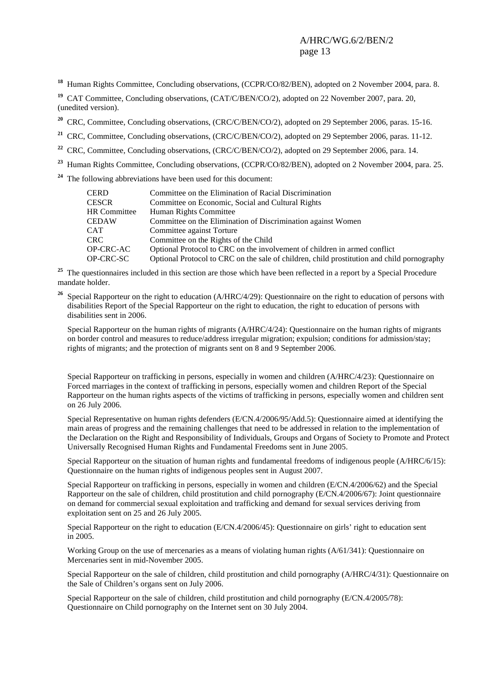<sup>18</sup> Human Rights Committee, Concluding observations, (CCPR/CO/82/BEN), adopted on 2 November 2004, para. 8.

<sup>19</sup> CAT Committee, Concluding observations, (CAT/C/BEN/CO/2), adopted on 22 November 2007, para. 20, (unedited version).

<sup>20</sup> CRC, Committee, Concluding observations, (CRC/C/BEN/CO/2), adopted on 29 September 2006, paras. 15-16.

<sup>21</sup> CRC, Committee, Concluding observations, (CRC/C/BEN/CO/2), adopted on 29 September 2006, paras. 11-12.

<sup>22</sup> CRC, Committee, Concluding observations, (CRC/C/BEN/CO/2), adopted on 29 September 2006, para. 14.

<sup>23</sup> Human Rights Committee, Concluding observations, (CCPR/CO/82/BEN), adopted on 2 November 2004, para. 25.

**<sup>24</sup>** The following abbreviations have been used for this document:

| CERD         | Committee on the Elimination of Racial Discrimination                                      |
|--------------|--------------------------------------------------------------------------------------------|
| CESCR        | Committee on Economic, Social and Cultural Rights                                          |
| HR Committee | Human Rights Committee                                                                     |
| CEDAW        | Committee on the Elimination of Discrimination against Women                               |
| CAT          | Committee against Torture                                                                  |
| CRC-         | Committee on the Rights of the Child                                                       |
| OP-CRC-AC    | Optional Protocol to CRC on the involvement of children in armed conflict                  |
| OP-CRC-SC    | Optional Protocol to CRC on the sale of children, child prostitution and child pornography |

<sup>25</sup> The questionnaires included in this section are those which have been reflected in a report by a Special Procedure mandate holder.

<sup>26</sup> Special Rapporteur on the right to education (A/HRC/4/29): Questionnaire on the right to education of persons with disabilities Report of the Special Rapporteur on the right to education, the right to education of persons with disabilities sent in 2006.

 Special Rapporteur on the human rights of migrants (A/HRC/4/24): Questionnaire on the human rights of migrants on border control and measures to reduce/address irregular migration; expulsion; conditions for admission/stay; rights of migrants; and the protection of migrants sent on 8 and 9 September 2006.

 Special Rapporteur on trafficking in persons, especially in women and children (A/HRC/4/23): Questionnaire on Forced marriages in the context of trafficking in persons, especially women and children Report of the Special Rapporteur on the human rights aspects of the victims of trafficking in persons, especially women and children sent on 26 July 2006.

 Special Representative on human rights defenders (E/CN.4/2006/95/Add.5): Questionnaire aimed at identifying the main areas of progress and the remaining challenges that need to be addressed in relation to the implementation of the Declaration on the Right and Responsibility of Individuals, Groups and Organs of Society to Promote and Protect Universally Recognised Human Rights and Fundamental Freedoms sent in June 2005.

 Special Rapporteur on the situation of human rights and fundamental freedoms of indigenous people (A/HRC/6/15): Questionnaire on the human rights of indigenous peoples sent in August 2007.

 Special Rapporteur on trafficking in persons, especially in women and children (E/CN.4/2006/62) and the Special Rapporteur on the sale of children, child prostitution and child pornography (E/CN.4/2006/67): Joint questionnaire on demand for commercial sexual exploitation and trafficking and demand for sexual services deriving from exploitation sent on 25 and 26 July 2005.

 Special Rapporteur on the right to education (E/CN.4/2006/45): Questionnaire on girls' right to education sent in 2005.

 Working Group on the use of mercenaries as a means of violating human rights (A/61/341): Questionnaire on Mercenaries sent in mid-November 2005.

 Special Rapporteur on the sale of children, child prostitution and child pornography (A/HRC/4/31): Questionnaire on the Sale of Children's organs sent on July 2006.

Special Rapporteur on the sale of children, child prostitution and child pornography (E/CN.4/2005/78): Questionnaire on Child pornography on the Internet sent on 30 July 2004.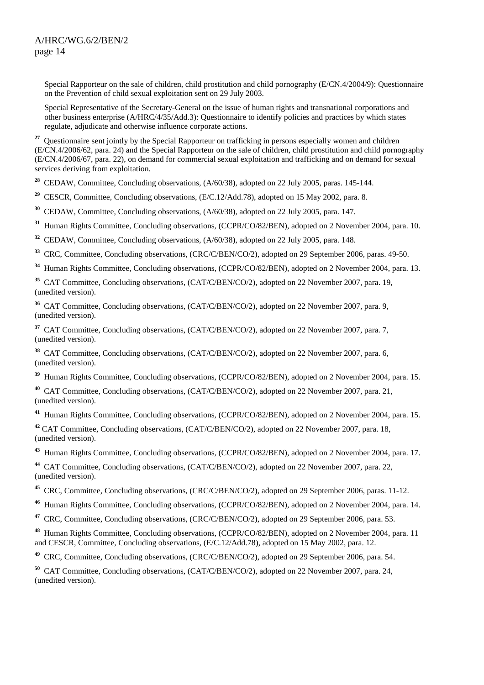Special Rapporteur on the sale of children, child prostitution and child pornography (E/CN.4/2004/9): Questionnaire on the Prevention of child sexual exploitation sent on 29 July 2003.

 Special Representative of the Secretary-General on the issue of human rights and transnational corporations and other business enterprise (A/HRC/4/35/Add.3): Questionnaire to identify policies and practices by which states regulate, adjudicate and otherwise influence corporate actions.

<sup>27</sup> Questionnaire sent jointly by the Special Rapporteur on trafficking in persons especially women and children (E/CN.4/2006/62, para. 24) and the Special Rapporteur on the sale of children, child prostitution and child pornography (E/CN.4/2006/67, para. 22), on demand for commercial sexual exploitation and trafficking and on demand for sexual services deriving from exploitation.

<sup>28</sup> CEDAW, Committee, Concluding observations, (A/60/38), adopted on 22 July 2005, paras. 145-144.

<sup>29</sup> CESCR, Committee, Concluding observations, (E/C.12/Add.78), adopted on 15 May 2002, para. 8.

**<sup>30</sup>** CEDAW, Committee, Concluding observations, (A/60/38), adopted on 22 July 2005, para. 147.

**<sup>31</sup>** Human Rights Committee, Concluding observations, (CCPR/CO/82/BEN), adopted on 2 November 2004, para. 10.

<sup>32</sup> CEDAW, Committee, Concluding observations,  $(A/60/38)$ , adopted on 22 July 2005, para. 148.

<sup>33</sup> CRC, Committee, Concluding observations, (CRC/C/BEN/CO/2), adopted on 29 September 2006, paras. 49-50.

**<sup>34</sup>** Human Rights Committee, Concluding observations, (CCPR/CO/82/BEN), adopted on 2 November 2004, para. 13.

<sup>35</sup> CAT Committee, Concluding observations, (CAT/C/BEN/CO/2), adopted on 22 November 2007, para. 19, (unedited version).

<sup>36</sup> CAT Committee, Concluding observations, (CAT/C/BEN/CO/2), adopted on 22 November 2007, para. 9, (unedited version).

<sup>37</sup> CAT Committee, Concluding observations, (CAT/C/BEN/CO/2), adopted on 22 November 2007, para. 7, (unedited version).

<sup>38</sup> CAT Committee, Concluding observations, (CAT/C/BEN/CO/2), adopted on 22 November 2007, para. 6, (unedited version).

**<sup>39</sup>** Human Rights Committee, Concluding observations, (CCPR/CO/82/BEN), adopted on 2 November 2004, para. 15.

**<sup>40</sup>** CAT Committee, Concluding observations, (CAT/C/BEN/CO/2), adopted on 22 November 2007, para. 21, (unedited version).

**<sup>41</sup>** Human Rights Committee, Concluding observations, (CCPR/CO/82/BEN), adopted on 2 November 2004, para. 15.

**<sup>42</sup>** CAT Committee, Concluding observations, (CAT/C/BEN/CO/2), adopted on 22 November 2007, para. 18, (unedited version).

**<sup>43</sup>** Human Rights Committee, Concluding observations, (CCPR/CO/82/BEN), adopted on 2 November 2004, para. 17.

**<sup>44</sup>** CAT Committee, Concluding observations, (CAT/C/BEN/CO/2), adopted on 22 November 2007, para. 22, (unedited version).

- <sup>45</sup> CRC, Committee, Concluding observations, (CRC/C/BEN/CO/2), adopted on 29 September 2006, paras. 11-12.
- **<sup>46</sup>** Human Rights Committee, Concluding observations, (CCPR/CO/82/BEN), adopted on 2 November 2004, para. 14.
- **<sup>47</sup>** CRC, Committee, Concluding observations, (CRC/C/BEN/CO/2), adopted on 29 September 2006, para. 53.

**<sup>48</sup>** Human Rights Committee, Concluding observations, (CCPR/CO/82/BEN), adopted on 2 November 2004, para. 11 and CESCR, Committee, Concluding observations, (E/C.12/Add.78), adopted on 15 May 2002, para. 12.

**<sup>49</sup>** CRC, Committee, Concluding observations, (CRC/C/BEN/CO/2), adopted on 29 September 2006, para. 54.

**<sup>50</sup>** CAT Committee, Concluding observations, (CAT/C/BEN/CO/2), adopted on 22 November 2007, para. 24, (unedited version).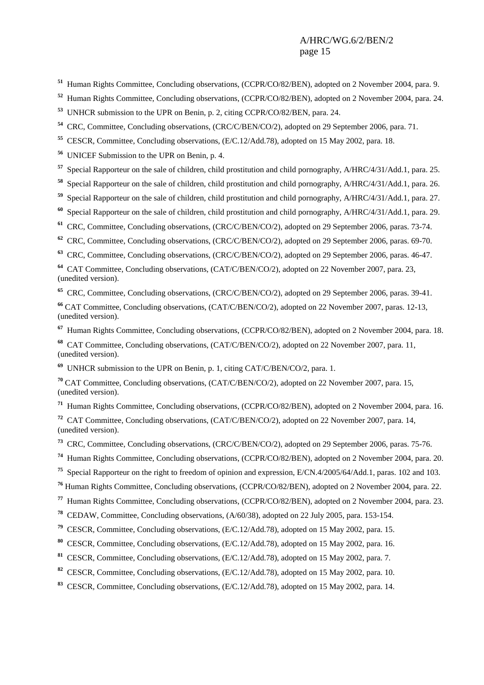- Human Rights Committee, Concluding observations, (CCPR/CO/82/BEN), adopted on 2 November 2004, para. 9.
- Human Rights Committee, Concluding observations, (CCPR/CO/82/BEN), adopted on 2 November 2004, para. 24.
- UNHCR submission to the UPR on Benin, p. 2, citing CCPR/CO/82/BEN, para. 24.
- CRC, Committee, Concluding observations, (CRC/C/BEN/CO/2), adopted on 29 September 2006, para. 71.
- CESCR, Committee, Concluding observations, (E/C.12/Add.78), adopted on 15 May 2002, para. 18.
- UNICEF Submission to the UPR on Benin, p. 4.
- Special Rapporteur on the sale of children, child prostitution and child pornography, A/HRC/4/31/Add.1, para. 25.
- Special Rapporteur on the sale of children, child prostitution and child pornography, A/HRC/4/31/Add.1, para. 26.
- Special Rapporteur on the sale of children, child prostitution and child pornography, A/HRC/4/31/Add.1, para. 27.
- Special Rapporteur on the sale of children, child prostitution and child pornography, A/HRC/4/31/Add.1, para. 29.
- <sup>61</sup> CRC, Committee, Concluding observations, (CRC/C/BEN/CO/2), adopted on 29 September 2006, paras. 73-74.
- CRC, Committee, Concluding observations, (CRC/C/BEN/CO/2), adopted on 29 September 2006, paras. 69-70.
- CRC, Committee, Concluding observations, (CRC/C/BEN/CO/2), adopted on 29 September 2006, paras. 46-47.

 CAT Committee, Concluding observations, (CAT/C/BEN/CO/2), adopted on 22 November 2007, para. 23, (unedited version).

CRC, Committee, Concluding observations, (CRC/C/BEN/CO/2), adopted on 29 September 2006, paras. 39-41.

 CAT Committee, Concluding observations, (CAT/C/BEN/CO/2), adopted on 22 November 2007, paras. 12-13, (unedited version).

- Human Rights Committee, Concluding observations, (CCPR/CO/82/BEN), adopted on 2 November 2004, para. 18.
- CAT Committee, Concluding observations, (CAT/C/BEN/CO/2), adopted on 22 November 2007, para. 11, (unedited version).
- UNHCR submission to the UPR on Benin, p. 1, citing CAT/C/BEN/CO/2, para. 1.
- CAT Committee, Concluding observations, (CAT/C/BEN/CO/2), adopted on 22 November 2007, para. 15, (unedited version).
- Human Rights Committee, Concluding observations, (CCPR/CO/82/BEN), adopted on 2 November 2004, para. 16.
- CAT Committee, Concluding observations, (CAT/C/BEN/CO/2), adopted on 22 November 2007, para. 14, (unedited version).
- CRC, Committee, Concluding observations, (CRC/C/BEN/CO/2), adopted on 29 September 2006, paras. 75-76.
- Human Rights Committee, Concluding observations, (CCPR/CO/82/BEN), adopted on 2 November 2004, para. 20.
- Special Rapporteur on the right to freedom of opinion and expression, E/CN.4/2005/64/Add.1, paras. 102 and 103.
- Human Rights Committee, Concluding observations, (CCPR/CO/82/BEN), adopted on 2 November 2004, para. 22.
- Human Rights Committee, Concluding observations, (CCPR/CO/82/BEN), adopted on 2 November 2004, para. 23.
- CEDAW, Committee, Concluding observations, (A/60/38), adopted on 22 July 2005, para. 153-154.
- CESCR, Committee, Concluding observations, (E/C.12/Add.78), adopted on 15 May 2002, para. 15.
- CESCR, Committee, Concluding observations, (E/C.12/Add.78), adopted on 15 May 2002, para. 16.
- CESCR, Committee, Concluding observations, (E/C.12/Add.78), adopted on 15 May 2002, para. 7.
- CESCR, Committee, Concluding observations, (E/C.12/Add.78), adopted on 15 May 2002, para. 10.
- CESCR, Committee, Concluding observations, (E/C.12/Add.78), adopted on 15 May 2002, para. 14.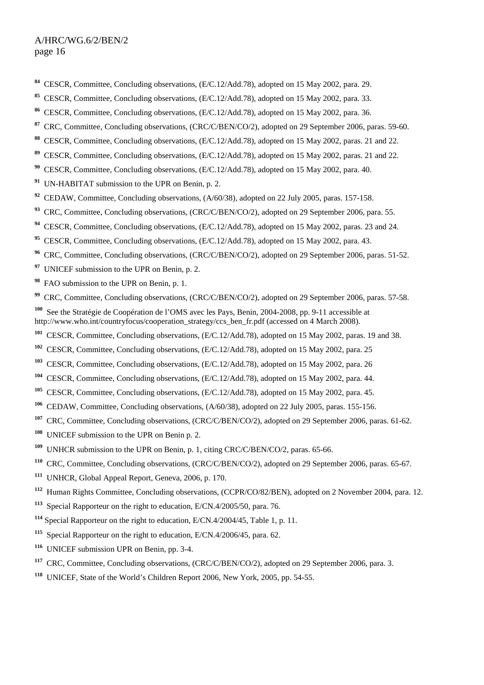- CESCR, Committee, Concluding observations, (E/C.12/Add.78), adopted on 15 May 2002, para. 29.
- CESCR, Committee, Concluding observations, (E/C.12/Add.78), adopted on 15 May 2002, para. 33.
- CESCR, Committee, Concluding observations, (E/C.12/Add.78), adopted on 15 May 2002, para. 36.
- CRC, Committee, Concluding observations, (CRC/C/BEN/CO/2), adopted on 29 September 2006, paras. 59-60.
- CESCR, Committee, Concluding observations, (E/C.12/Add.78), adopted on 15 May 2002, paras. 21 and 22.
- CESCR, Committee, Concluding observations, (E/C.12/Add.78), adopted on 15 May 2002, paras. 21 and 22.
- CESCR, Committee, Concluding observations, (E/C.12/Add.78), adopted on 15 May 2002, para. 40.
- UN-HABITAT submission to the UPR on Benin, p. 2.
- <sup>92</sup> CEDAW, Committee, Concluding observations, (A/60/38), adopted on 22 July 2005, paras. 157-158.
- CRC, Committee, Concluding observations, (CRC/C/BEN/CO/2), adopted on 29 September 2006, para. 55.
- <sup>94</sup> CESCR, Committee, Concluding observations, (E/C.12/Add.78), adopted on 15 May 2002, paras. 23 and 24.
- CESCR, Committee, Concluding observations, (E/C.12/Add.78), adopted on 15 May 2002, para. 43.
- <sup>96</sup> CRC, Committee, Concluding observations, (CRC/C/BEN/CO/2), adopted on 29 September 2006, paras. 51-52.
- <sup>97</sup> UNICEF submission to the UPR on Benin, p. 2.
- FAO submission to the UPR on Benin, p. 1.
- <sup>99</sup> CRC, Committee, Concluding observations, (CRC/C/BEN/CO/2), adopted on 29 September 2006, paras. 57-58.
- See the Stratégie de Coopération de l'OMS avec les Pays, Benin, 2004-2008, pp. 9-11 accessible at http://www.who.int/countryfocus/cooperation\_strategy/ccs\_ben\_fr.pdf (accessed on 4 March 2008).
- CESCR, Committee, Concluding observations, (E/C.12/Add.78), adopted on 15 May 2002, paras. 19 and 38.
- CESCR, Committee, Concluding observations, (E/C.12/Add.78), adopted on 15 May 2002, para. 25
- CESCR, Committee, Concluding observations, (E/C.12/Add.78), adopted on 15 May 2002, para. 26
- CESCR, Committee, Concluding observations, (E/C.12/Add.78), adopted on 15 May 2002, para. 44.
- <sup>105</sup> CESCR, Committee, Concluding observations, (E/C.12/Add.78), adopted on 15 May 2002, para. 45.
- CEDAW, Committee, Concluding observations, (A/60/38), adopted on 22 July 2005, paras. 155-156.
- <sup>107</sup> CRC, Committee, Concluding observations, (CRC/C/BEN/CO/2), adopted on 29 September 2006, paras. 61-62.
- UNICEF submission to the UPR on Benin p. 2.
- <sup>109</sup> UNHCR submission to the UPR on Benin, p. 1, citing CRC/C/BEN/CO/2, paras. 65-66.
- <sup>110</sup> CRC, Committee, Concluding observations, (CRC/C/BEN/CO/2), adopted on 29 September 2006, paras. 65-67.
- UNHCR, Global Appeal Report, Geneva, 2006, p. 170.
- Human Rights Committee, Concluding observations, (CCPR/CO/82/BEN), adopted on 2 November 2004, para. 12.
- Special Rapporteur on the right to education, E/CN.4/2005/50, para. 76.
- Special Rapporteur on the right to education, E/CN.4/2004/45, Table 1, p. 11.
- Special Rapporteur on the right to education, E/CN.4/2006/45, para. 62.
- UNICEF submission UPR on Benin, pp. 3-4.
- CRC, Committee, Concluding observations, (CRC/C/BEN/CO/2), adopted on 29 September 2006, para. 3.
- UNICEF, State of the World's Children Report 2006, New York, 2005, pp. 54-55.